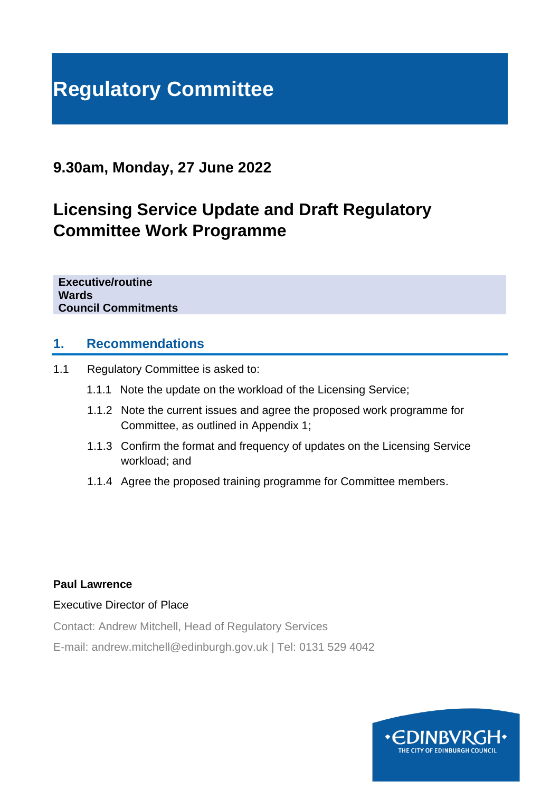# **Regulatory Committee**

### **9.30am, Monday, 27 June 2022**

# **Licensing Service Update and Draft Regulatory Committee Work Programme**

**Executive/routine Wards Council Commitments**

#### **1. Recommendations**

- 1.1 Regulatory Committee is asked to:
	- 1.1.1 Note the update on the workload of the Licensing Service;
	- 1.1.2 Note the current issues and agree the proposed work programme for Committee, as outlined in Appendix 1;
	- 1.1.3 Confirm the format and frequency of updates on the Licensing Service workload; and
	- 1.1.4 Agree the proposed training programme for Committee members.

#### **Paul Lawrence**

#### Executive Director of Place

Contact: Andrew Mitchell, Head of Regulatory Services

E-mail: andrew.mitchell@edinburgh.gov.uk | Tel: 0131 529 4042

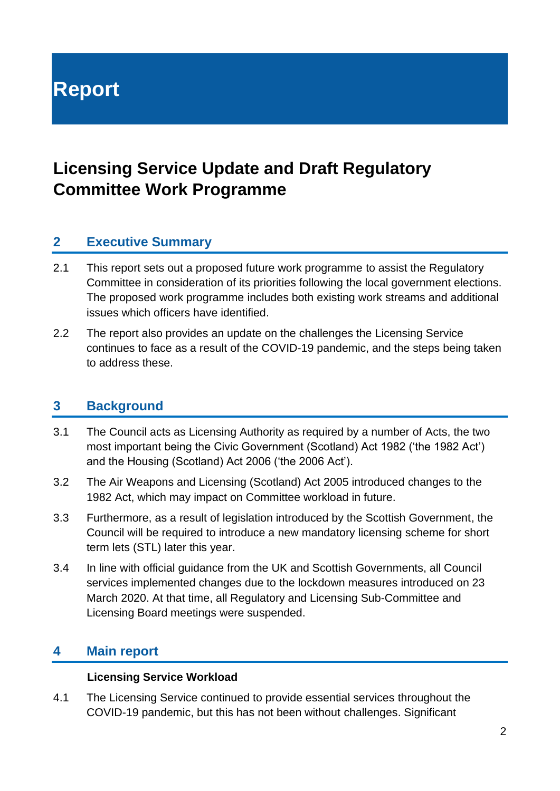# **Report**

# **Licensing Service Update and Draft Regulatory Committee Work Programme**

#### **2 Executive Summary**

- 2.1 This report sets out a proposed future work programme to assist the Regulatory Committee in consideration of its priorities following the local government elections. The proposed work programme includes both existing work streams and additional issues which officers have identified.
- 2.2 The report also provides an update on the challenges the Licensing Service continues to face as a result of the COVID-19 pandemic, and the steps being taken to address these.

#### **3 Background**

- 3.1 The Council acts as Licensing Authority as required by a number of Acts, the two most important being the Civic Government (Scotland) Act 1982 ('the 1982 Act') and the Housing (Scotland) Act 2006 ('the 2006 Act').
- 3.2 The Air Weapons and Licensing (Scotland) Act 2005 introduced changes to the 1982 Act, which may impact on Committee workload in future.
- 3.3 Furthermore, as a result of legislation introduced by the Scottish Government, the Council will be required to introduce a new mandatory licensing scheme for short term lets (STL) later this year.
- 3.4 In line with official guidance from the UK and Scottish Governments, all Council services implemented changes due to the lockdown measures introduced on 23 March 2020. At that time, all Regulatory and Licensing Sub-Committee and Licensing Board meetings were suspended.

#### **4 Main report**

#### **Licensing Service Workload**

4.1 The Licensing Service continued to provide essential services throughout the COVID-19 pandemic, but this has not been without challenges. Significant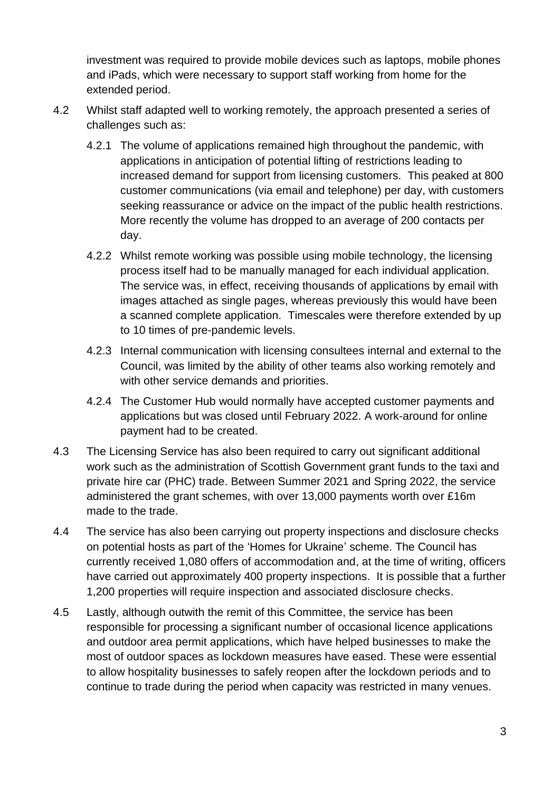investment was required to provide mobile devices such as laptops, mobile phones and iPads, which were necessary to support staff working from home for the extended period.

- 4.2 Whilst staff adapted well to working remotely, the approach presented a series of challenges such as:
	- 4.2.1 The volume of applications remained high throughout the pandemic, with applications in anticipation of potential lifting of restrictions leading to increased demand for support from licensing customers. This peaked at 800 customer communications (via email and telephone) per day, with customers seeking reassurance or advice on the impact of the public health restrictions. More recently the volume has dropped to an average of 200 contacts per day.
	- 4.2.2 Whilst remote working was possible using mobile technology, the licensing process itself had to be manually managed for each individual application. The service was, in effect, receiving thousands of applications by email with images attached as single pages, whereas previously this would have been a scanned complete application. Timescales were therefore extended by up to 10 times of pre-pandemic levels.
	- 4.2.3 Internal communication with licensing consultees internal and external to the Council, was limited by the ability of other teams also working remotely and with other service demands and priorities.
	- 4.2.4 The Customer Hub would normally have accepted customer payments and applications but was closed until February 2022. A work-around for online payment had to be created.
- 4.3 The Licensing Service has also been required to carry out significant additional work such as the administration of Scottish Government grant funds to the taxi and private hire car (PHC) trade. Between Summer 2021 and Spring 2022, the service administered the grant schemes, with over 13,000 payments worth over £16m made to the trade.
- 4.4 The service has also been carrying out property inspections and disclosure checks on potential hosts as part of the 'Homes for Ukraine' scheme. The Council has currently received 1,080 offers of accommodation and, at the time of writing, officers have carried out approximately 400 property inspections. It is possible that a further 1,200 properties will require inspection and associated disclosure checks.
- 4.5 Lastly, although outwith the remit of this Committee, the service has been responsible for processing a significant number of occasional licence applications and outdoor area permit applications, which have helped businesses to make the most of outdoor spaces as lockdown measures have eased. These were essential to allow hospitality businesses to safely reopen after the lockdown periods and to continue to trade during the period when capacity was restricted in many venues.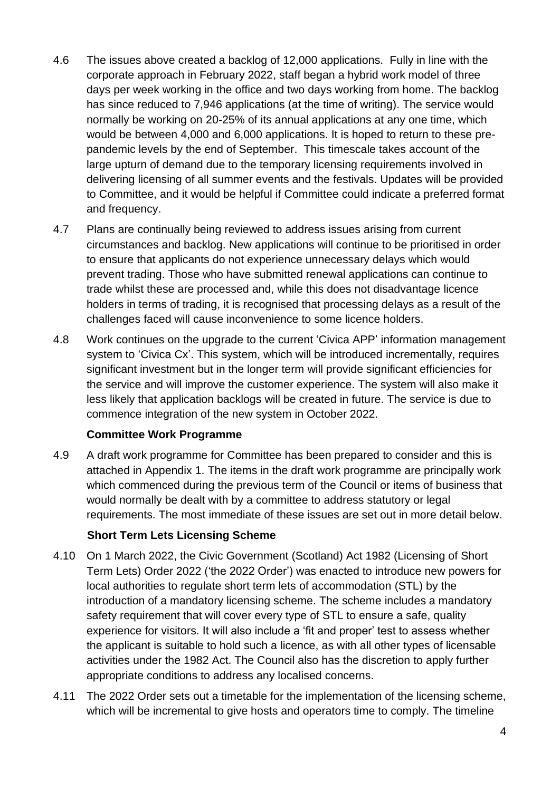- 4.6 The issues above created a backlog of 12,000 applications. Fully in line with the corporate approach in February 2022, staff began a hybrid work model of three days per week working in the office and two days working from home. The backlog has since reduced to 7,946 applications (at the time of writing). The service would normally be working on 20-25% of its annual applications at any one time, which would be between 4,000 and 6,000 applications. It is hoped to return to these prepandemic levels by the end of September. This timescale takes account of the large upturn of demand due to the temporary licensing requirements involved in delivering licensing of all summer events and the festivals. Updates will be provided to Committee, and it would be helpful if Committee could indicate a preferred format and frequency.
- 4.7 Plans are continually being reviewed to address issues arising from current circumstances and backlog. New applications will continue to be prioritised in order to ensure that applicants do not experience unnecessary delays which would prevent trading. Those who have submitted renewal applications can continue to trade whilst these are processed and, while this does not disadvantage licence holders in terms of trading, it is recognised that processing delays as a result of the challenges faced will cause inconvenience to some licence holders.
- 4.8 Work continues on the upgrade to the current 'Civica APP' information management system to 'Civica Cx'. This system, which will be introduced incrementally, requires significant investment but in the longer term will provide significant efficiencies for the service and will improve the customer experience. The system will also make it less likely that application backlogs will be created in future. The service is due to commence integration of the new system in October 2022.

#### **Committee Work Programme**

4.9 A draft work programme for Committee has been prepared to consider and this is attached in Appendix 1. The items in the draft work programme are principally work which commenced during the previous term of the Council or items of business that would normally be dealt with by a committee to address statutory or legal requirements. The most immediate of these issues are set out in more detail below.

#### **Short Term Lets Licensing Scheme**

- 4.10 On 1 March 2022, the Civic Government (Scotland) Act 1982 (Licensing of Short Term Lets) Order 2022 ('the 2022 Order') was enacted to introduce new powers for local authorities to regulate short term lets of accommodation (STL) by the introduction of a mandatory licensing scheme. The scheme includes a mandatory safety requirement that will cover every type of STL to ensure a safe, quality experience for visitors. It will also include a 'fit and proper' test to assess whether the applicant is suitable to hold such a licence, as with all other types of licensable activities under the 1982 Act. The Council also has the discretion to apply further appropriate conditions to address any localised concerns.
- 4.11 The 2022 Order sets out a timetable for the implementation of the licensing scheme, which will be incremental to give hosts and operators time to comply. The timeline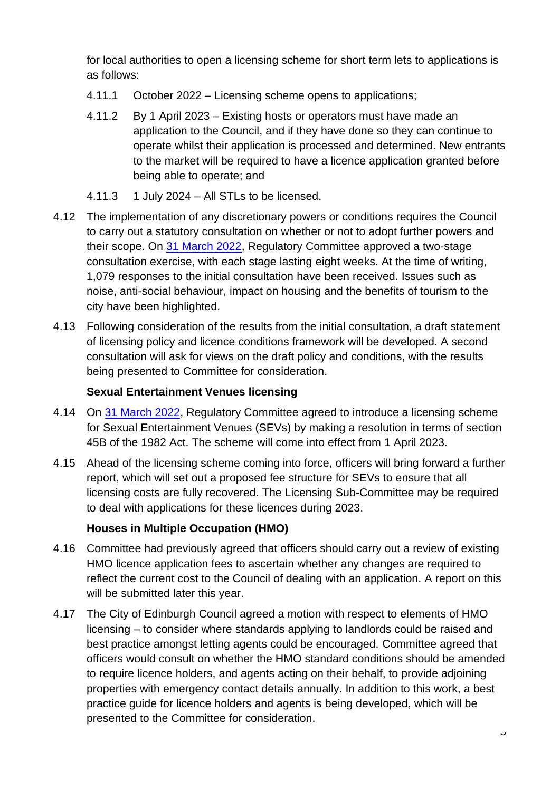for local authorities to open a licensing scheme for short term lets to applications is as follows:

- 4.11.1 October 2022 Licensing scheme opens to applications;
- 4.11.2 By 1 April 2023 Existing hosts or operators must have made an application to the Council, and if they have done so they can continue to operate whilst their application is processed and determined. New entrants to the market will be required to have a licence application granted before being able to operate; and
- $4.11.3$  1 July 2024 All STLs to be licensed.
- 4.12 The implementation of any discretionary powers or conditions requires the Council to carry out a statutory consultation on whether or not to adopt further powers and their scope. On [31 March 2022,](https://democracy.edinburgh.gov.uk/documents/s45931/7.2%20Short%20Term%20Lets%20-%20New%20Licensing%20Powers%20Consultation%20v0.7%20directorate.pdf) Regulatory Committee approved a two-stage consultation exercise, with each stage lasting eight weeks. At the time of writing, 1,079 responses to the initial consultation have been received. Issues such as noise, anti-social behaviour, impact on housing and the benefits of tourism to the city have been highlighted.
- 4.13 Following consideration of the results from the initial consultation, a draft statement of licensing policy and licence conditions framework will be developed. A second consultation will ask for views on the draft policy and conditions, with the results being presented to Committee for consideration.

#### **Sexual Entertainment Venues licensing**

- 4.14 On [31 March 2022,](https://democracy.edinburgh.gov.uk/documents/s45934/7.1%20SEVs%20-%20Update.pdf) Regulatory Committee agreed to introduce a licensing scheme for Sexual Entertainment Venues (SEVs) by making a resolution in terms of section 45B of the 1982 Act. The scheme will come into effect from 1 April 2023.
- 4.15 Ahead of the licensing scheme coming into force, officers will bring forward a further report, which will set out a proposed fee structure for SEVs to ensure that all licensing costs are fully recovered. The Licensing Sub-Committee may be required to deal with applications for these licences during 2023.

#### **Houses in Multiple Occupation (HMO)**

- 4.16 Committee had previously agreed that officers should carry out a review of existing HMO licence application fees to ascertain whether any changes are required to reflect the current cost to the Council of dealing with an application. A report on this will be submitted later this year.
- 4.17 The City of Edinburgh Council agreed a motion with respect to elements of HMO licensing – to consider where standards applying to landlords could be raised and best practice amongst letting agents could be encouraged. Committee agreed that officers would consult on whether the HMO standard conditions should be amended to require licence holders, and agents acting on their behalf, to provide adjoining properties with emergency contact details annually. In addition to this work, a best practice guide for licence holders and agents is being developed, which will be presented to the Committee for consideration.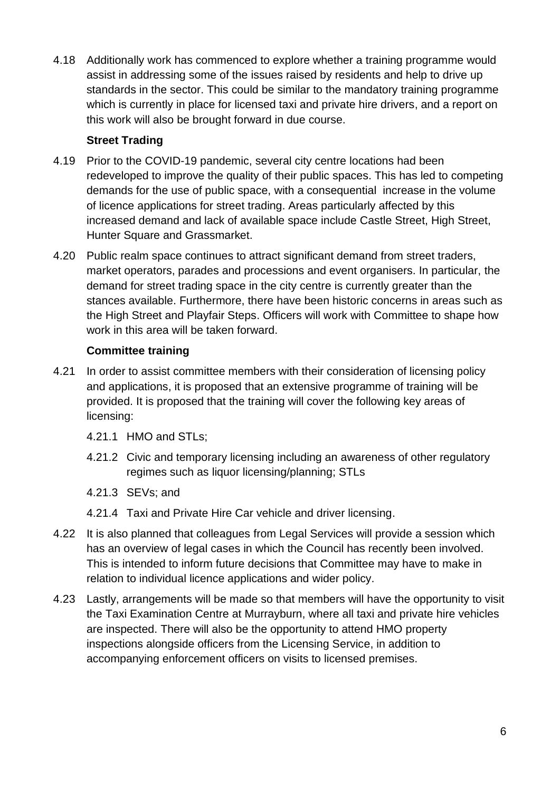4.18 Additionally work has commenced to explore whether a training programme would assist in addressing some of the issues raised by residents and help to drive up standards in the sector. This could be similar to the mandatory training programme which is currently in place for licensed taxi and private hire drivers, and a report on this work will also be brought forward in due course.

#### **Street Trading**

- 4.19 Prior to the COVID-19 pandemic, several city centre locations had been redeveloped to improve the quality of their public spaces. This has led to competing demands for the use of public space, with a consequential increase in the volume of licence applications for street trading. Areas particularly affected by this increased demand and lack of available space include Castle Street, High Street, Hunter Square and Grassmarket.
- 4.20 Public realm space continues to attract significant demand from street traders, market operators, parades and processions and event organisers. In particular, the demand for street trading space in the city centre is currently greater than the stances available. Furthermore, there have been historic concerns in areas such as the High Street and Playfair Steps. Officers will work with Committee to shape how work in this area will be taken forward.

#### **Committee training**

- 4.21 In order to assist committee members with their consideration of licensing policy and applications, it is proposed that an extensive programme of training will be provided. It is proposed that the training will cover the following key areas of licensing:
	- 4.21.1 HMO and STLs;
	- 4.21.2 Civic and temporary licensing including an awareness of other regulatory regimes such as liquor licensing/planning; STLs
	- 4.21.3 SEVs; and
	- 4.21.4 Taxi and Private Hire Car vehicle and driver licensing.
- 4.22 It is also planned that colleagues from Legal Services will provide a session which has an overview of legal cases in which the Council has recently been involved. This is intended to inform future decisions that Committee may have to make in relation to individual licence applications and wider policy.
- 4.23 Lastly, arrangements will be made so that members will have the opportunity to visit the Taxi Examination Centre at Murrayburn, where all taxi and private hire vehicles are inspected. There will also be the opportunity to attend HMO property inspections alongside officers from the Licensing Service, in addition to accompanying enforcement officers on visits to licensed premises.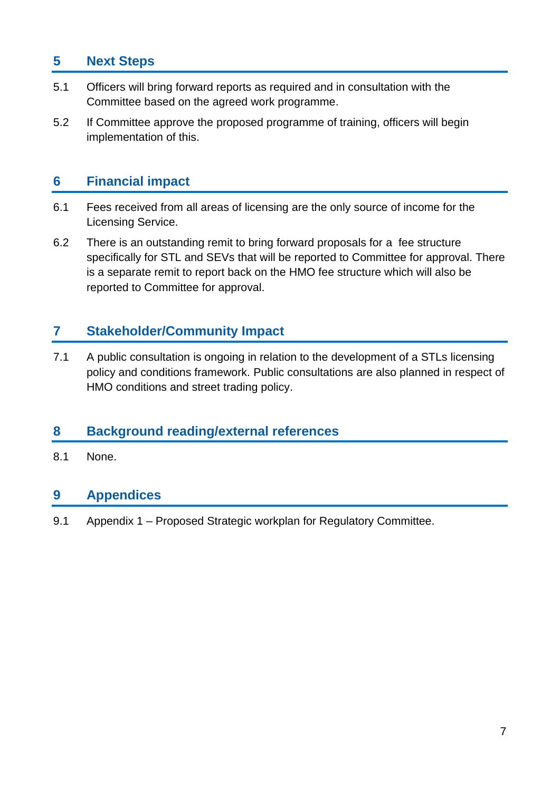### **5 Next Steps**

- 5.1 Officers will bring forward reports as required and in consultation with the Committee based on the agreed work programme.
- 5.2 If Committee approve the proposed programme of training, officers will begin implementation of this.

#### **6 Financial impact**

- 6.1 Fees received from all areas of licensing are the only source of income for the Licensing Service.
- 6.2 There is an outstanding remit to bring forward proposals for a fee structure specifically for STL and SEVs that will be reported to Committee for approval. There is a separate remit to report back on the HMO fee structure which will also be reported to Committee for approval.

#### **7 Stakeholder/Community Impact**

7.1 A public consultation is ongoing in relation to the development of a STLs licensing policy and conditions framework. Public consultations are also planned in respect of HMO conditions and street trading policy.

#### **8 Background reading/external references**

8.1 None.

#### **9 Appendices**

9.1 Appendix 1 – Proposed Strategic workplan for Regulatory Committee.